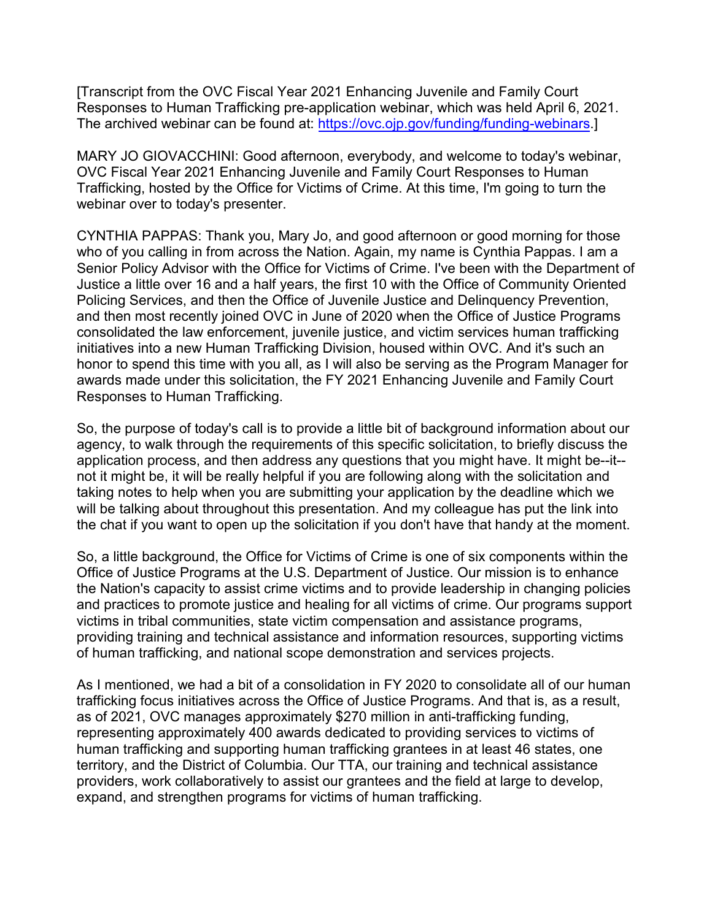[Transcript from the OVC Fiscal Year 2021 Enhancing Juvenile and Family Court Responses to Human Trafficking pre-application webinar, which was held April 6, 2021. The archived webinar can be found at[: https://ovc.ojp.gov/funding/funding-webinars.](https://ovc.ojp.gov/funding/funding-webinars)]

MARY JO GIOVACCHINI: Good afternoon, everybody, and welcome to today's webinar, OVC Fiscal Year 2021 Enhancing Juvenile and Family Court Responses to Human Trafficking, hosted by the Office for Victims of Crime. At this time, I'm going to turn the webinar over to today's presenter.

 Senior Policy Advisor with the Office for Victims of Crime. I've been with the Department of Responses to Human Trafficking. CYNTHIA PAPPAS: Thank you, Mary Jo, and good afternoon or good morning for those who of you calling in from across the Nation. Again, my name is Cynthia Pappas. I am a Justice a little over 16 and a half years, the first 10 with the Office of Community Oriented Policing Services, and then the Office of Juvenile Justice and Delinquency Prevention, and then most recently joined OVC in June of 2020 when the Office of Justice Programs consolidated the law enforcement, juvenile justice, and victim services human trafficking initiatives into a new Human Trafficking Division, housed within OVC. And it's such an honor to spend this time with you all, as I will also be serving as the Program Manager for awards made under this solicitation, the FY 2021 Enhancing Juvenile and Family Court

 application process, and then address any questions that you might have. It might be--it-- So, the purpose of today's call is to provide a little bit of background information about our agency, to walk through the requirements of this specific solicitation, to briefly discuss the not it might be, it will be really helpful if you are following along with the solicitation and taking notes to help when you are submitting your application by the deadline which we will be talking about throughout this presentation. And my colleague has put the link into the chat if you want to open up the solicitation if you don't have that handy at the moment.

 So, a little background, the Office for Victims of Crime is one of six components within the Office of Justice Programs at the U.S. Department of Justice. Our mission is to enhance the Nation's capacity to assist crime victims and to provide leadership in changing policies and practices to promote justice and healing for all victims of crime. Our programs support victims in tribal communities, state victim compensation and assistance programs, providing training and technical assistance and information resources, supporting victims of human trafficking, and national scope demonstration and services projects.

 As I mentioned, we had a bit of a consolidation in FY 2020 to consolidate all of our human trafficking focus initiatives across the Office of Justice Programs. And that is, as a result, as of 2021, OVC manages approximately \$270 million in anti-trafficking funding, territory, and the District of Columbia. Our TTA, our training and technical assistance expand, and strengthen programs for victims of human trafficking. representing approximately 400 awards dedicated to providing services to victims of human trafficking and supporting human trafficking grantees in at least 46 states, one providers, work collaboratively to assist our grantees and the field at large to develop,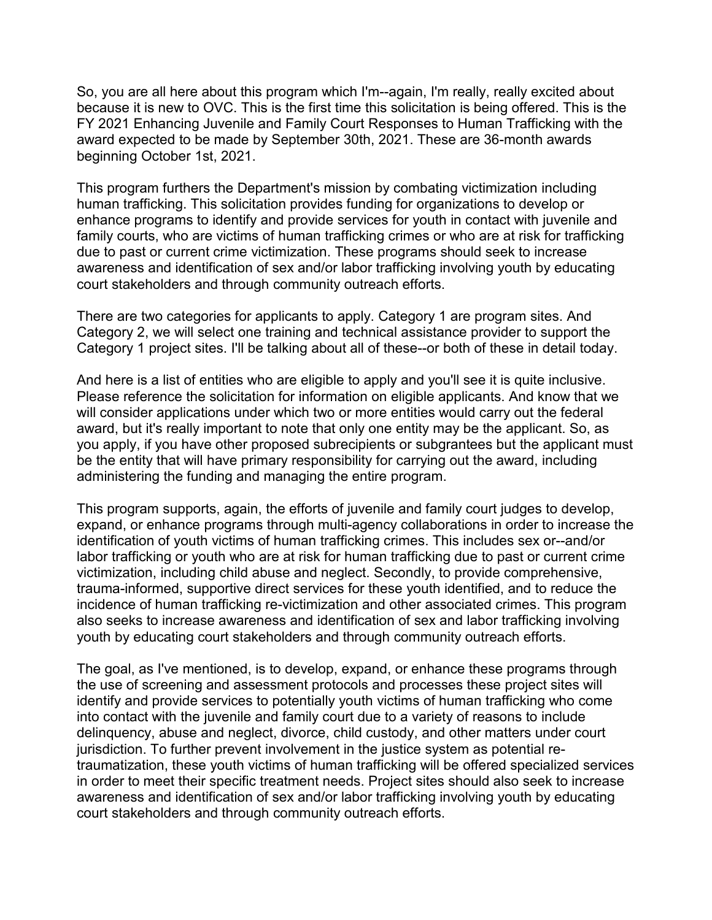because it is new to OVC. This is the first time this solicitation is being offered. This is the award expected to be made by September 30th, 2021. These are 36-month awards So, you are all here about this program which I'm--again, I'm really, really excited about FY 2021 Enhancing Juvenile and Family Court Responses to Human Trafficking with the beginning October 1st, 2021.

 family courts, who are victims of human trafficking crimes or who are at risk for trafficking due to past or current crime victimization. These programs should seek to increase This program furthers the Department's mission by combating victimization including human trafficking. This solicitation provides funding for organizations to develop or enhance programs to identify and provide services for youth in contact with juvenile and awareness and identification of sex and/or labor trafficking involving youth by educating court stakeholders and through community outreach efforts.

There are two categories for applicants to apply. Category 1 are program sites. And Category 2, we will select one training and technical assistance provider to support the Category 1 project sites. I'll be talking about all of these--or both of these in detail today.

And here is a list of entities who are eligible to apply and you'll see it is quite inclusive. Please reference the solicitation for information on eligible applicants. And know that we will consider applications under which two or more entities would carry out the federal award, but it's really important to note that only one entity may be the applicant. So, as you apply, if you have other proposed subrecipients or subgrantees but the applicant must be the entity that will have primary responsibility for carrying out the award, including administering the funding and managing the entire program.

 This program supports, again, the efforts of juvenile and family court judges to develop, incidence of human trafficking re-victimization and other associated crimes. This program expand, or enhance programs through multi-agency collaborations in order to increase the identification of youth victims of human trafficking crimes. This includes sex or--and/or labor trafficking or youth who are at risk for human trafficking due to past or current crime victimization, including child abuse and neglect. Secondly, to provide comprehensive, trauma-informed, supportive direct services for these youth identified, and to reduce the also seeks to increase awareness and identification of sex and labor trafficking involving youth by educating court stakeholders and through community outreach efforts.

 jurisdiction. To further prevent involvement in the justice system as potential re-The goal, as I've mentioned, is to develop, expand, or enhance these programs through the use of screening and assessment protocols and processes these project sites will identify and provide services to potentially youth victims of human trafficking who come into contact with the juvenile and family court due to a variety of reasons to include delinquency, abuse and neglect, divorce, child custody, and other matters under court traumatization, these youth victims of human trafficking will be offered specialized services in order to meet their specific treatment needs. Project sites should also seek to increase awareness and identification of sex and/or labor trafficking involving youth by educating court stakeholders and through community outreach efforts.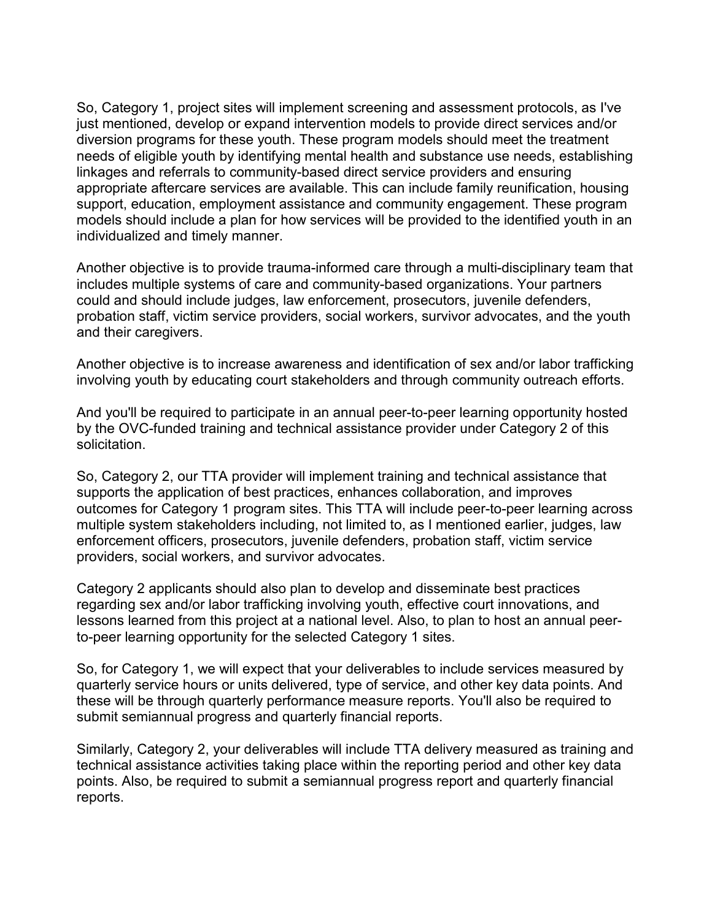support, education, employment assistance and community engagement. These program models should include a plan for how services will be provided to the identified youth in an So, Category 1, project sites will implement screening and assessment protocols, as I've just mentioned, develop or expand intervention models to provide direct services and/or diversion programs for these youth. These program models should meet the treatment needs of eligible youth by identifying mental health and substance use needs, establishing linkages and referrals to community-based direct service providers and ensuring appropriate aftercare services are available. This can include family reunification, housing individualized and timely manner.

 and their caregivers. Another objective is to provide trauma-informed care through a multi-disciplinary team that includes multiple systems of care and community-based organizations. Your partners could and should include judges, law enforcement, prosecutors, juvenile defenders, probation staff, victim service providers, social workers, survivor advocates, and the youth

Another objective is to increase awareness and identification of sex and/or labor trafficking involving youth by educating court stakeholders and through community outreach efforts.

And you'll be required to participate in an annual peer-to-peer learning opportunity hosted by the OVC-funded training and technical assistance provider under Category 2 of this solicitation.

 outcomes for Category 1 program sites. This TTA will include peer-to-peer learning across enforcement officers, prosecutors, juvenile defenders, probation staff, victim service So, Category 2, our TTA provider will implement training and technical assistance that supports the application of best practices, enhances collaboration, and improves multiple system stakeholders including, not limited to, as I mentioned earlier, judges, law providers, social workers, and survivor advocates.

 lessons learned from this project at a national level. Also, to plan to host an annual peer-Category 2 applicants should also plan to develop and disseminate best practices regarding sex and/or labor trafficking involving youth, effective court innovations, and to-peer learning opportunity for the selected Category 1 sites.

So, for Category 1, we will expect that your deliverables to include services measured by quarterly service hours or units delivered, type of service, and other key data points. And these will be through quarterly performance measure reports. You'll also be required to submit semiannual progress and quarterly financial reports.

 reports. Similarly, Category 2, your deliverables will include TTA delivery measured as training and technical assistance activities taking place within the reporting period and other key data points. Also, be required to submit a semiannual progress report and quarterly financial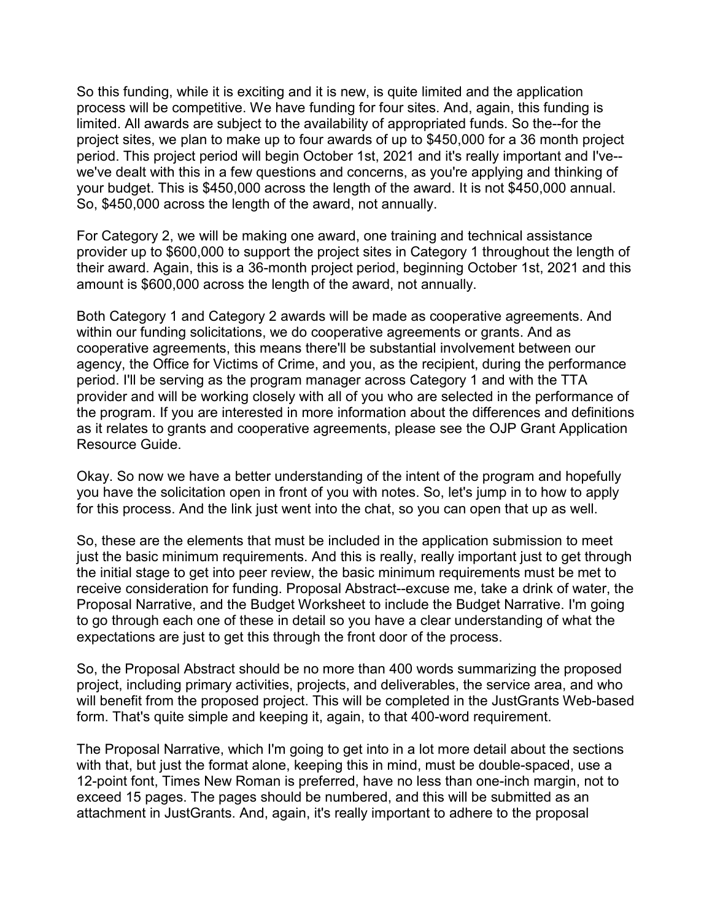process will be competitive. We have funding for four sites. And, again, this funding is So, \$450,000 across the length of the award, not annually. So this funding, while it is exciting and it is new, is quite limited and the application limited. All awards are subject to the availability of appropriated funds. So the--for the project sites, we plan to make up to four awards of up to \$450,000 for a 36 month project period. This project period will begin October 1st, 2021 and it's really important and I've- we've dealt with this in a few questions and concerns, as you're applying and thinking of your budget. This is \$450,000 across the length of the award. It is not \$450,000 annual.

For Category 2, we will be making one award, one training and technical assistance provider up to \$600,000 to support the project sites in Category 1 throughout the length of their award. Again, this is a 36-month project period, beginning October 1st, 2021 and this amount is \$600,000 across the length of the award, not annually.

 cooperative agreements, this means there'll be substantial involvement between our provider and will be working closely with all of you who are selected in the performance of Both Category 1 and Category 2 awards will be made as cooperative agreements. And within our funding solicitations, we do cooperative agreements or grants. And as agency, the Office for Victims of Crime, and you, as the recipient, during the performance period. I'll be serving as the program manager across Category 1 and with the TTA the program. If you are interested in more information about the differences and definitions as it relates to grants and cooperative agreements, please see the OJP Grant Application Resource Guide.

 Okay. So now we have a better understanding of the intent of the program and hopefully you have the solicitation open in front of you with notes. So, let's jump in to how to apply for this process. And the link just went into the chat, so you can open that up as well.

 receive consideration for funding. Proposal Abstract--excuse me, take a drink of water, the So, these are the elements that must be included in the application submission to meet just the basic minimum requirements. And this is really, really important just to get through the initial stage to get into peer review, the basic minimum requirements must be met to Proposal Narrative, and the Budget Worksheet to include the Budget Narrative. I'm going to go through each one of these in detail so you have a clear understanding of what the expectations are just to get this through the front door of the process.

 So, the Proposal Abstract should be no more than 400 words summarizing the proposed will benefit from the proposed project. This will be completed in the JustGrants Web-based project, including primary activities, projects, and deliverables, the service area, and who form. That's quite simple and keeping it, again, to that 400-word requirement.

 12-point font, Times New Roman is preferred, have no less than one-inch margin, not to exceed 15 pages. The pages should be numbered, and this will be submitted as an The Proposal Narrative, which I'm going to get into in a lot more detail about the sections with that, but just the format alone, keeping this in mind, must be double-spaced, use a attachment in JustGrants. And, again, it's really important to adhere to the proposal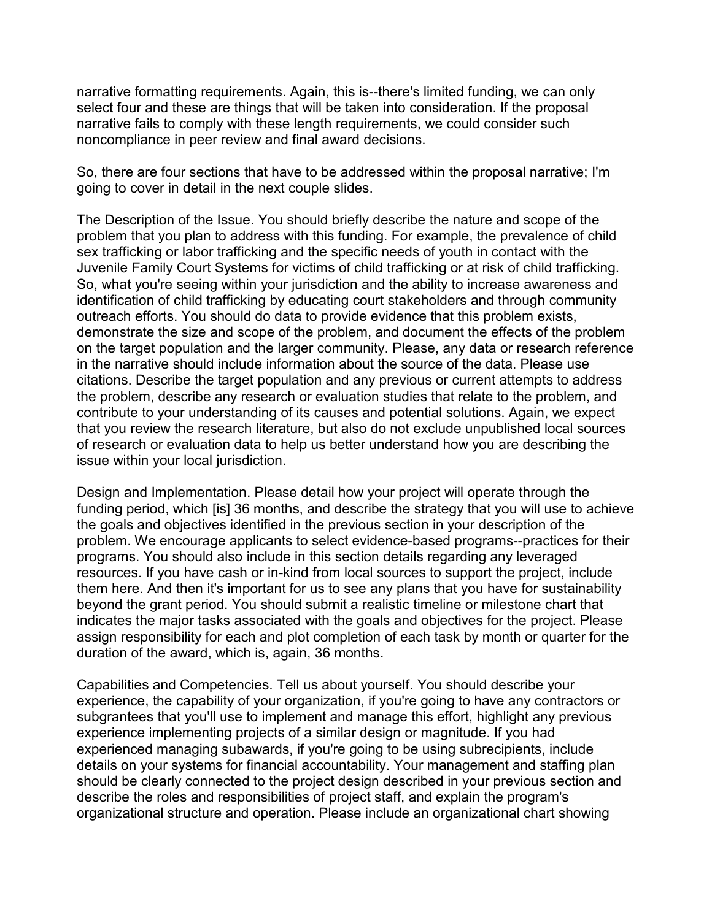narrative fails to comply with these length requirements, we could consider such narrative formatting requirements. Again, this is--there's limited funding, we can only select four and these are things that will be taken into consideration. If the proposal noncompliance in peer review and final award decisions.

 So, there are four sections that have to be addressed within the proposal narrative; I'm going to cover in detail in the next couple slides.

 Juvenile Family Court Systems for victims of child trafficking or at risk of child trafficking. demonstrate the size and scope of the problem, and document the effects of the problem The Description of the Issue. You should briefly describe the nature and scope of the problem that you plan to address with this funding. For example, the prevalence of child sex trafficking or labor trafficking and the specific needs of youth in contact with the So, what you're seeing within your jurisdiction and the ability to increase awareness and identification of child trafficking by educating court stakeholders and through community outreach efforts. You should do data to provide evidence that this problem exists, on the target population and the larger community. Please, any data or research reference in the narrative should include information about the source of the data. Please use citations. Describe the target population and any previous or current attempts to address the problem, describe any research or evaluation studies that relate to the problem, and contribute to your understanding of its causes and potential solutions. Again, we expect that you review the research literature, but also do not exclude unpublished local sources of research or evaluation data to help us better understand how you are describing the issue within your local jurisdiction.

 Design and Implementation. Please detail how your project will operate through the problem. We encourage applicants to select evidence-based programs--practices for their resources. If you have cash or in-kind from local sources to support the project, include duration of the award, which is, again, 36 months. funding period, which [is] 36 months, and describe the strategy that you will use to achieve the goals and objectives identified in the previous section in your description of the programs. You should also include in this section details regarding any leveraged them here. And then it's important for us to see any plans that you have for sustainability beyond the grant period. You should submit a realistic timeline or milestone chart that indicates the major tasks associated with the goals and objectives for the project. Please assign responsibility for each and plot completion of each task by month or quarter for the

 subgrantees that you'll use to implement and manage this effort, highlight any previous experience implementing projects of a similar design or magnitude. If you had Capabilities and Competencies. Tell us about yourself. You should describe your experience, the capability of your organization, if you're going to have any contractors or experienced managing subawards, if you're going to be using subrecipients, include details on your systems for financial accountability. Your management and staffing plan should be clearly connected to the project design described in your previous section and describe the roles and responsibilities of project staff, and explain the program's organizational structure and operation. Please include an organizational chart showing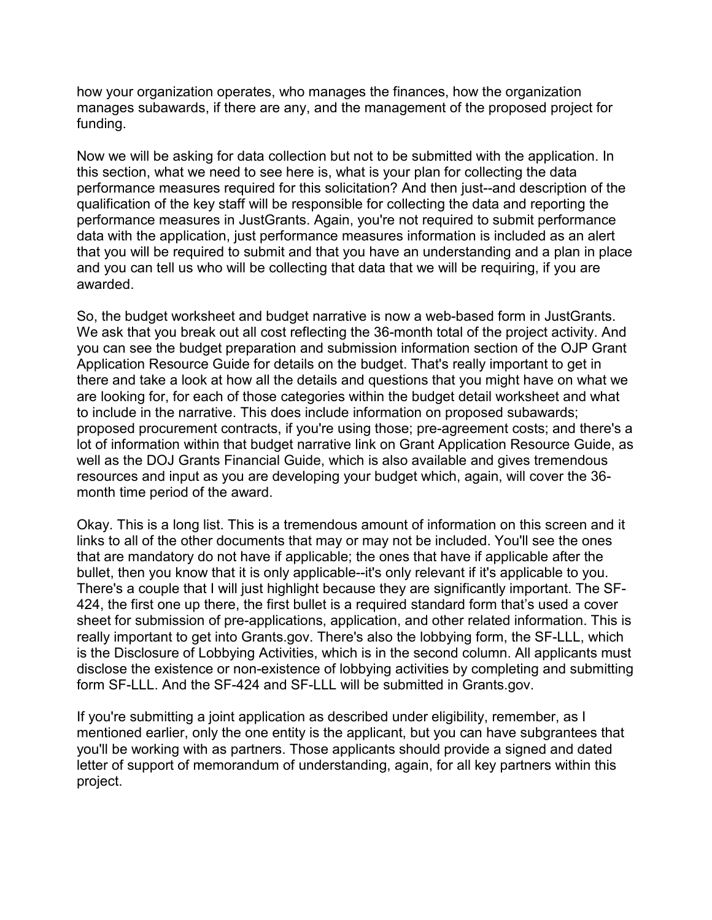manages subawards, if there are any, and the management of the proposed project for how your organization operates, who manages the finances, how the organization funding.

 that you will be required to submit and that you have an understanding and a plan in place Now we will be asking for data collection but not to be submitted with the application. In this section, what we need to see here is, what is your plan for collecting the data performance measures required for this solicitation? And then just--and description of the qualification of the key staff will be responsible for collecting the data and reporting the performance measures in JustGrants. Again, you're not required to submit performance data with the application, just performance measures information is included as an alert and you can tell us who will be collecting that data that we will be requiring, if you are awarded.

 We ask that you break out all cost reflecting the 36-month total of the project activity. And Application Resource Guide for details on the budget. That's really important to get in are looking for, for each of those categories within the budget detail worksheet and what So, the budget worksheet and budget narrative is now a web-based form in JustGrants. you can see the budget preparation and submission information section of the OJP Grant there and take a look at how all the details and questions that you might have on what we to include in the narrative. This does include information on proposed subawards; proposed procurement contracts, if you're using those; pre-agreement costs; and there's a lot of information within that budget narrative link on Grant Application Resource Guide, as well as the DOJ Grants Financial Guide, which is also available and gives tremendous resources and input as you are developing your budget which, again, will cover the 36 month time period of the award.

 There's a couple that I will just highlight because they are significantly important. The SF- 424, the first one up there, the first bullet is a required standard form that's used a cover sheet for submission of pre-applications, application, and other related information. This is is the Disclosure of Lobbying Activities, which is in the second column. All applicants must Okay. This is a long list. This is a tremendous amount of information on this screen and it links to all of the other documents that may or may not be included. You'll see the ones that are mandatory do not have if applicable; the ones that have if applicable after the bullet, then you know that it is only applicable--it's only relevant if it's applicable to you. really important to get into [Grants.gov](https://Grants.gov). There's also the lobbying form, the SF-LLL, which disclose the existence or non-existence of lobbying activities by completing and submitting form SF-LLL. And the SF-424 and SF-LLL will be submitted in [Grants.gov](https://Grants.gov).

 If you're submitting a joint application as described under eligibility, remember, as I you'll be working with as partners. Those applicants should provide a signed and dated letter of support of memorandum of understanding, again, for all key partners within this mentioned earlier, only the one entity is the applicant, but you can have subgrantees that project.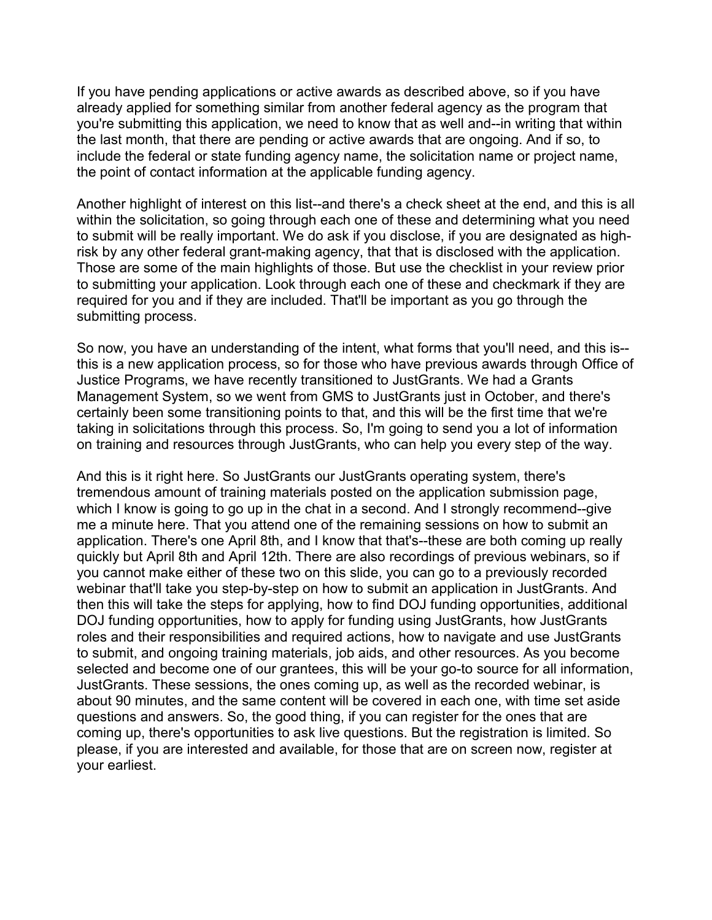include the federal or state funding agency name, the solicitation name or project name, If you have pending applications or active awards as described above, so if you have already applied for something similar from another federal agency as the program that you're submitting this application, we need to know that as well and--in writing that within the last month, that there are pending or active awards that are ongoing. And if so, to the point of contact information at the applicable funding agency.

 Another highlight of interest on this list--and there's a check sheet at the end, and this is all submitting process. within the solicitation, so going through each one of these and determining what you need to submit will be really important. We do ask if you disclose, if you are designated as highrisk by any other federal grant-making agency, that that is disclosed with the application. Those are some of the main highlights of those. But use the checklist in your review prior to submitting your application. Look through each one of these and checkmark if they are required for you and if they are included. That'll be important as you go through the

So now, you have an understanding of the intent, what forms that you'll need, and this is-this is a new application process, so for those who have previous awards through Office of Justice Programs, we have recently transitioned to JustGrants. We had a Grants Management System, so we went from GMS to JustGrants just in October, and there's certainly been some transitioning points to that, and this will be the first time that we're taking in solicitations through this process. So, I'm going to send you a lot of information on training and resources through JustGrants, who can help you every step of the way.

 to submit, and ongoing training materials, job aids, and other resources. As you become selected and become one of our grantees, this will be your go-to source for all information, about 90 minutes, and the same content will be covered in each one, with time set aside And this is it right here. So JustGrants our JustGrants operating system, there's tremendous amount of training materials posted on the application submission page, which I know is going to go up in the chat in a second. And I strongly recommend--give me a minute here. That you attend one of the remaining sessions on how to submit an application. There's one April 8th, and I know that that's--these are both coming up really quickly but April 8th and April 12th. There are also recordings of previous webinars, so if you cannot make either of these two on this slide, you can go to a previously recorded webinar that'll take you step-by-step on how to submit an application in JustGrants. And then this will take the steps for applying, how to find DOJ funding opportunities, additional DOJ funding opportunities, how to apply for funding using JustGrants, how JustGrants roles and their responsibilities and required actions, how to navigate and use JustGrants JustGrants. These sessions, the ones coming up, as well as the recorded webinar, is questions and answers. So, the good thing, if you can register for the ones that are coming up, there's opportunities to ask live questions. But the registration is limited. So please, if you are interested and available, for those that are on screen now, register at your earliest.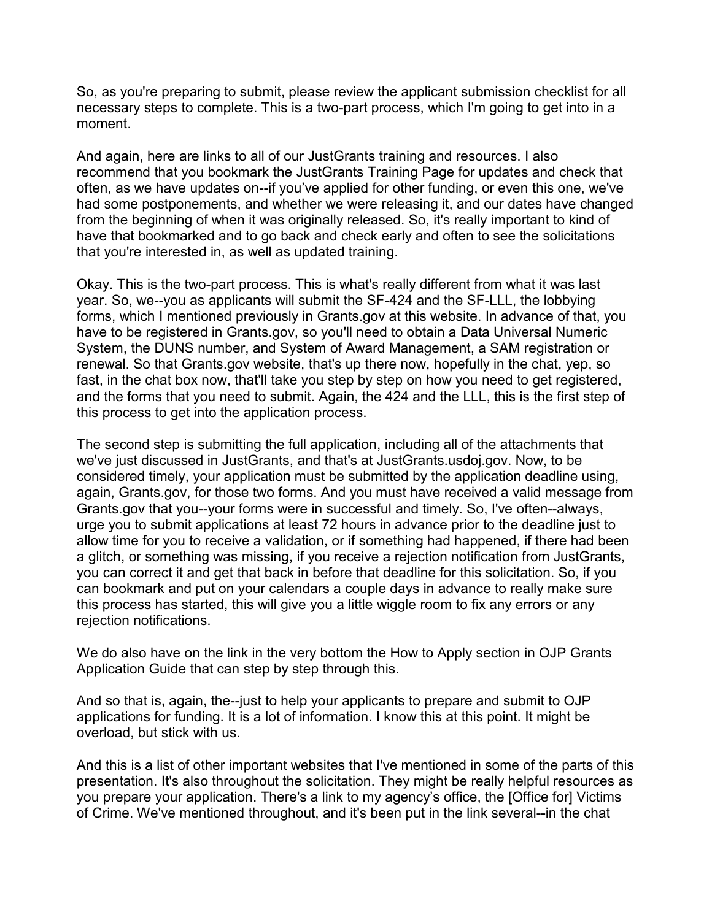So, as you're preparing to submit, please review the applicant submission checklist for all necessary steps to complete. This is a two-part process, which I'm going to get into in a moment.

 often, as we have updates on--if you've applied for other funding, or even this one, we've And again, here are links to all of our JustGrants training and resources. I also recommend that you bookmark the JustGrants Training Page for updates and check that had some postponements, and whether we were releasing it, and our dates have changed from the beginning of when it was originally released. So, it's really important to kind of have that bookmarked and to go back and check early and often to see the solicitations that you're interested in, as well as updated training.

 year. So, we--you as applicants will submit the SF-424 and the SF-LLL, the lobbying have to be registered in [Grants.gov,](https://Grants.gov) so you'll need to obtain a Data Universal Numeric renewal. So that [Grants.gov](https://Grants.gov) website, that's up there now, hopefully in the chat, yep, so and the forms that you need to submit. Again, the 424 and the LLL, this is the first step of Okay. This is the two-part process. This is what's really different from what it was last forms, which I mentioned previously in [Grants.gov](https://Grants.gov) at this website. In advance of that, you System, the DUNS number, and System of Award Management, a SAM registration or fast, in the chat box now, that'll take you step by step on how you need to get registered, this process to get into the application process.

 considered timely, your application must be submitted by the application deadline using, [Grants.gov](https://Grants.gov) that you--your forms were in successful and timely. So, I've often--always, you can correct it and get that back in before that deadline for this solicitation. So, if you The second step is submitting the full application, including all of the attachments that we've just discussed in JustGrants, and that's at [JustGrants.usdoj.gov.](https://JustGrants.usdoj.gov) Now, to be again, [Grants.gov,](https://Grants.gov) for those two forms. And you must have received a valid message from urge you to submit applications at least 72 hours in advance prior to the deadline just to allow time for you to receive a validation, or if something had happened, if there had been a glitch, or something was missing, if you receive a rejection notification from JustGrants, can bookmark and put on your calendars a couple days in advance to really make sure this process has started, this will give you a little wiggle room to fix any errors or any rejection notifications.

We do also have on the link in the very bottom the How to Apply section in OJP Grants Application Guide that can step by step through this.

 applications for funding. It is a lot of information. I know this at this point. It might be And so that is, again, the--just to help your applicants to prepare and submit to OJP overload, but stick with us.

 And this is a list of other important websites that I've mentioned in some of the parts of this presentation. It's also throughout the solicitation. They might be really helpful resources as you prepare your application. There's a link to my agency's office, the [Office for] Victims of Crime. We've mentioned throughout, and it's been put in the link several--in the chat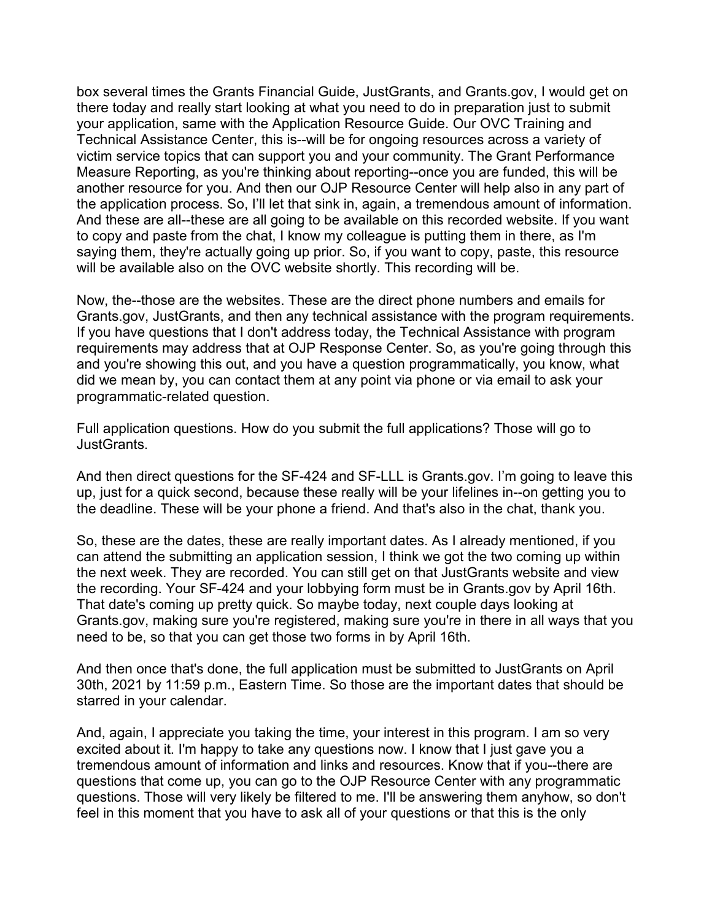the application process. So, I'll let that sink in, again, a tremendous amount of information. box several times the Grants Financial Guide, JustGrants, and [Grants.gov,](https://Grants.gov) I would get on there today and really start looking at what you need to do in preparation just to submit your application, same with the Application Resource Guide. Our OVC Training and Technical Assistance Center, this is--will be for ongoing resources across a variety of victim service topics that can support you and your community. The Grant Performance Measure Reporting, as you're thinking about reporting--once you are funded, this will be another resource for you. And then our OJP Resource Center will help also in any part of And these are all--these are all going to be available on this recorded website. If you want to copy and paste from the chat, I know my colleague is putting them in there, as I'm saying them, they're actually going up prior. So, if you want to copy, paste, this resource will be available also on the OVC website shortly. This recording will be.

 requirements may address that at OJP Response Center. So, as you're going through this Now, the--those are the websites. These are the direct phone numbers and emails for [Grants.gov,](https://Grants.gov) JustGrants, and then any technical assistance with the program requirements. If you have questions that I don't address today, the Technical Assistance with program and you're showing this out, and you have a question programmatically, you know, what did we mean by, you can contact them at any point via phone or via email to ask your programmatic-related question.

Full application questions. How do you submit the full applications? Those will go to JustGrants.

 up, just for a quick second, because these really will be your lifelines in--on getting you to And then direct questions for the SF-424 and SF-LLL is [Grants.gov.](https://Grants.gov) I'm going to leave this the deadline. These will be your phone a friend. And that's also in the chat, thank you.

 So, these are the dates, these are really important dates. As I already mentioned, if you can attend the submitting an application session, I think we got the two coming up within the recording. Your SF-424 and your lobbying form must be in [Grants.gov](https://Grants.gov) by April 16th. need to be, so that you can get those two forms in by April 16th. the next week. They are recorded. You can still get on that JustGrants website and view That date's coming up pretty quick. So maybe today, next couple days looking at [Grants.gov,](https://Grants.gov) making sure you're registered, making sure you're in there in all ways that you

And then once that's done, the full application must be submitted to JustGrants on April 30th, 2021 by 11:59 p.m., Eastern Time. So those are the important dates that should be starred in your calendar.

 questions. Those will very likely be filtered to me. I'll be answering them anyhow, so don't feel in this moment that you have to ask all of your questions or that this is the only And, again, I appreciate you taking the time, your interest in this program. I am so very excited about it. I'm happy to take any questions now. I know that I just gave you a tremendous amount of information and links and resources. Know that if you--there are questions that come up, you can go to the OJP Resource Center with any programmatic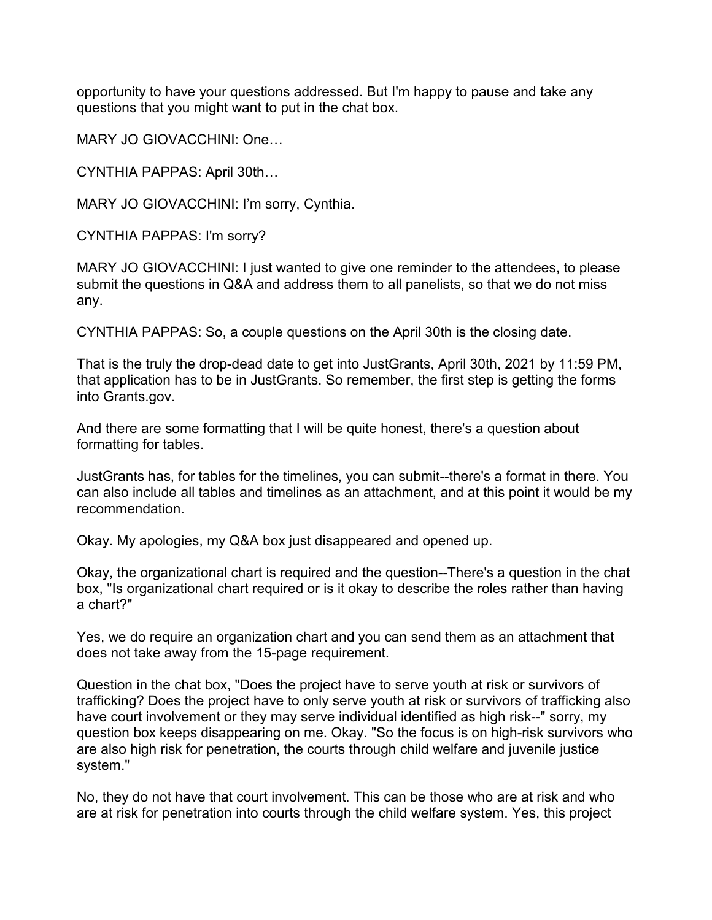opportunity to have your questions addressed. But I'm happy to pause and take any questions that you might want to put in the chat box.

MARY JO GIOVACCHINI: One…

CYNTHIA PAPPAS: April 30th…

MARY JO GIOVACCHINI: I'm sorry, Cynthia.

CYNTHIA PAPPAS: I'm sorry?

MARY JO GIOVACCHINI: I just wanted to give one reminder to the attendees, to please submit the questions in Q&A and address them to all panelists, so that we do not miss any.

CYNTHIA PAPPAS: So, a couple questions on the April 30th is the closing date.

That is the truly the drop-dead date to get into JustGrants, April 30th, 2021 by 11:59 PM, that application has to be in JustGrants. So remember, the first step is getting the forms into [Grants.gov](https://Grants.gov).

 formatting for tables. And there are some formatting that I will be quite honest, there's a question about

JustGrants has, for tables for the timelines, you can submit--there's a format in there. You can also include all tables and timelines as an attachment, and at this point it would be my recommendation.

Okay. My apologies, my Q&A box just disappeared and opened up.

a chart?" Okay, the organizational chart is required and the question--There's a question in the chat box, "Is organizational chart required or is it okay to describe the roles rather than having

Yes, we do require an organization chart and you can send them as an attachment that does not take away from the 15-page requirement.

system." Question in the chat box, "Does the project have to serve youth at risk or survivors of trafficking? Does the project have to only serve youth at risk or survivors of trafficking also have court involvement or they may serve individual identified as high risk--" sorry, my question box keeps disappearing on me. Okay. "So the focus is on high-risk survivors who are also high risk for penetration, the courts through child welfare and juvenile justice

 are at risk for penetration into courts through the child welfare system. Yes, this project No, they do not have that court involvement. This can be those who are at risk and who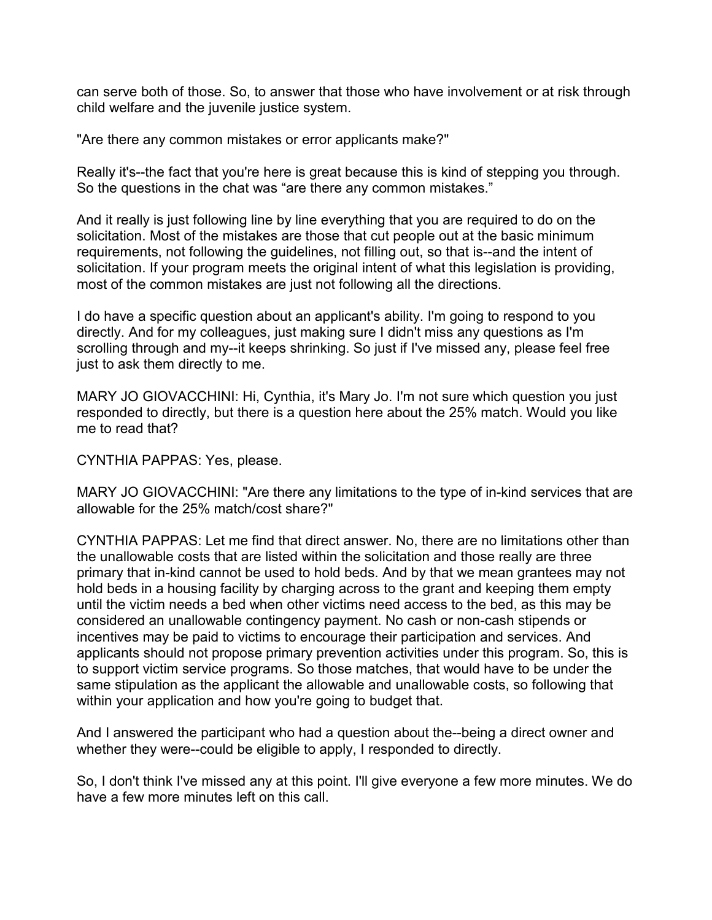can serve both of those. So, to answer that those who have involvement or at risk through child welfare and the juvenile justice system.

"Are there any common mistakes or error applicants make?"

Really it's--the fact that you're here is great because this is kind of stepping you through. So the questions in the chat was "are there any common mistakes."

 solicitation. Most of the mistakes are those that cut people out at the basic minimum most of the common mistakes are just not following all the directions. And it really is just following line by line everything that you are required to do on the requirements, not following the guidelines, not filling out, so that is--and the intent of solicitation. If your program meets the original intent of what this legislation is providing,

I do have a specific question about an applicant's ability. I'm going to respond to you directly. And for my colleagues, just making sure I didn't miss any questions as I'm scrolling through and my--it keeps shrinking. So just if I've missed any, please feel free just to ask them directly to me.

 responded to directly, but there is a question here about the 25% match. Would you like MARY JO GIOVACCHINI: Hi, Cynthia, it's Mary Jo. I'm not sure which question you just me to read that?

CYNTHIA PAPPAS: Yes, please.

MARY JO GIOVACCHINI: "Are there any limitations to the type of in-kind services that are allowable for the 25% match/cost share?"

 CYNTHIA PAPPAS: Let me find that direct answer. No, there are no limitations other than primary that in-kind cannot be used to hold beds. And by that we mean grantees may not hold beds in a housing facility by charging across to the grant and keeping them empty until the victim needs a bed when other victims need access to the bed, as this may be applicants should not propose primary prevention activities under this program. So, this is same stipulation as the applicant the allowable and unallowable costs, so following that the unallowable costs that are listed within the solicitation and those really are three considered an unallowable contingency payment. No cash or non-cash stipends or incentives may be paid to victims to encourage their participation and services. And to support victim service programs. So those matches, that would have to be under the within your application and how you're going to budget that.

 And I answered the participant who had a question about the--being a direct owner and whether they were--could be eligible to apply, I responded to directly.

 have a few more minutes left on this call. So, I don't think I've missed any at this point. I'll give everyone a few more minutes. We do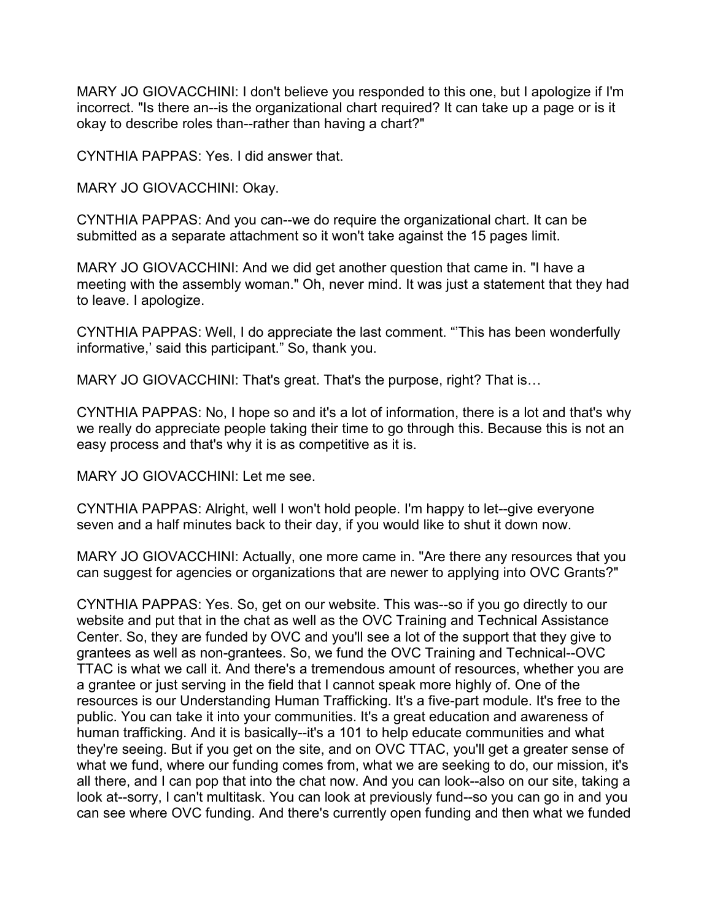MARY JO GIOVACCHINI: I don't believe you responded to this one, but I apologize if I'm incorrect. "Is there an--is the organizational chart required? It can take up a page or is it okay to describe roles than--rather than having a chart?"

CYNTHIA PAPPAS: Yes. I did answer that.

MARY JO GIOVACCHINI: Okay.

CYNTHIA PAPPAS: And you can--we do require the organizational chart. It can be submitted as a separate attachment so it won't take against the 15 pages limit.

MARY JO GIOVACCHINI: And we did get another question that came in. "I have a meeting with the assembly woman." Oh, never mind. It was just a statement that they had to leave. I apologize.

CYNTHIA PAPPAS: Well, I do appreciate the last comment. "'This has been wonderfully informative,' said this participant." So, thank you.

MARY JO GIOVACCHINI: That's great. That's the purpose, right? That is…

CYNTHIA PAPPAS: No, I hope so and it's a lot of information, there is a lot and that's why we really do appreciate people taking their time to go through this. Because this is not an easy process and that's why it is as competitive as it is.

MARY JO GIOVACCHINI: Let me see.

CYNTHIA PAPPAS: Alright, well I won't hold people. I'm happy to let--give everyone seven and a half minutes back to their day, if you would like to shut it down now.

MARY JO GIOVACCHINI: Actually, one more came in. "Are there any resources that you can suggest for agencies or organizations that are newer to applying into OVC Grants?"

CYNTHIA PAPPAS: Yes. So, get on our website. This was--so if you go directly to our website and put that in the chat as well as the OVC Training and Technical Assistance Center. So, they are funded by OVC and you'll see a lot of the support that they give to grantees as well as non-grantees. So, we fund the OVC Training and Technical--OVC TTAC is what we call it. And there's a tremendous amount of resources, whether you are a grantee or just serving in the field that I cannot speak more highly of. One of the resources is our Understanding Human Trafficking. It's a five-part module. It's free to the public. You can take it into your communities. It's a great education and awareness of human trafficking. And it is basically--it's a 101 to help educate communities and what they're seeing. But if you get on the site, and on OVC TTAC, you'll get a greater sense of what we fund, where our funding comes from, what we are seeking to do, our mission, it's all there, and I can pop that into the chat now. And you can look--also on our site, taking a look at--sorry, I can't multitask. You can look at previously fund--so you can go in and you can see where OVC funding. And there's currently open funding and then what we funded